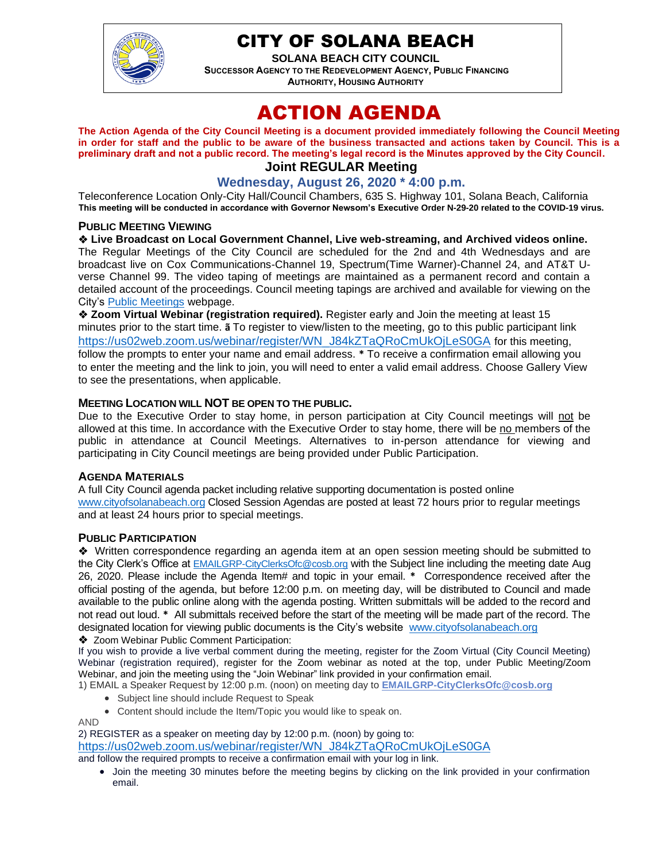

## CITY OF SOLANA BEACH

**SOLANA BEACH CITY COUNCIL SUCCESSOR AGENCY TO THE REDEVELOPMENT AGENCY, PUBLIC FINANCING AUTHORITY, HOUSING AUTHORITY** 

# ACTION AGENDA

**The Action Agenda of the City Council Meeting is a document provided immediately following the Council Meeting in order for staff and the public to be aware of the business transacted and actions taken by Council. This is a preliminary draft and not a public record. The meeting's legal record is the Minutes approved by the City Council. Joint REGULAR Meeting**

## **Wednesday, August 26, 2020 \* 4:00 p.m.**

Teleconference Location Only-City Hall/Council Chambers, 635 S. Highway 101, Solana Beach, California **This meeting will be conducted in accordance with Governor Newsom's Executive Order N-29-20 related to the COVID-19 virus.**

#### **PUBLIC MEETING VIEWING**

❖ **Live Broadcast on Local Government Channel, Live web-streaming, and Archived videos online.** The Regular Meetings of the City Council are scheduled for the 2nd and 4th Wednesdays and are broadcast live on Cox Communications-Channel 19, Spectrum(Time Warner)-Channel 24, and AT&T Uverse Channel 99. The video taping of meetings are maintained as a permanent record and contain a detailed account of the proceedings. Council meeting tapings are archived and available for viewing on the City's [Public Meetings](https://urldefense.proofpoint.com/v2/url?u=https-3A__www.ci.solana-2Dbeach.ca.us_index.asp-3FSEC-3DF0F1200D-2D21C6-2D4A88-2D8AE1-2D0BC07C1A81A7-26Type-3DB-5FBASIC&d=DwMFAg&c=euGZstcaTDllvimEN8b7jXrwqOf-v5A_CdpgnVfiiMM&r=1XAsCUuqwK_tji2t0s1uIQ&m=wny2RVfZJ2tN24LkqZmkUWNpwL_peNtTZUBlTBZiMM4&s=WwpcEQpHHkFen6nS6q2waMuQ_VMZ-i1YZ60lD-dYRRE&e=) webpage.

❖ **Zoom Virtual Webinar (registration required).** Register early and Join the meeting at least 15 minutes prior to the start time. **ã** To register to view/listen to the meeting, go to this public participant link [https://us02web.zoom.us/webinar/register/WN\\_J84kZTaQRoCmUkOjLeS0GA](https://us02web.zoom.us/webinar/register/WN_J84kZTaQRoCmUkOjLeS0GA) for this meeting, follow the prompts to enter your name and email address. **\*** To receive a confirmation email allowing you to enter the meeting and the link to join, you will need to enter a valid email address. Choose Gallery View to see the presentations, when applicable.

#### **MEETING LOCATION WILL NOT BE OPEN TO THE PUBLIC.**

Due to the Executive Order to stay home, in person participation at City Council meetings will not be allowed at this time. In accordance with the Executive Order to stay home, there will be no members of the public in attendance at Council Meetings. Alternatives to in-person attendance for viewing and participating in City Council meetings are being provided under Public Participation.

#### **AGENDA MATERIALS**

A full City Council agenda packet including relative supporting documentation is posted online [www.cityofsolanabeach.org](http://www.cityofsolanabeach.org/) Closed Session Agendas are posted at least 72 hours prior to regular meetings and at least 24 hours prior to special meetings.

#### **PUBLIC PARTICIPATION**

❖Written correspondence regarding an agenda item at an open session meeting should be submitted to the City Clerk's Office at [EMAILGRP-CityClerksOfc@cosb.org](mailto:EMAILGRP-CityClerksOfc@cosb.org) with the Subject line including the meeting date Aug 26, 2020. Please include the Agenda Item# and topic in your email. **\*** Correspondence received after the official posting of the agenda, but before 12:00 p.m. on meeting day, will be distributed to Council and made available to the public online along with the agenda posting. Written submittals will be added to the record and not read out loud. **\*** All submittals received before the start of the meeting will be made part of the record. The designated location for viewing public documents is the City's website [www.cityofsolanabeach.org](http://www.cityofsolanabeach.org/)

❖ Zoom Webinar Public Comment Participation:

If you wish to provide a live verbal comment during the meeting, register for the Zoom Virtual (City Council Meeting) Webinar (registration required), register for the Zoom webinar as noted at the top, under Public Meeting/Zoom Webinar, and join the meeting using the "Join Webinar" link provided in your confirmation email.

1) EMAIL a Speaker Request by 12:00 p.m. (noon) on meeting day to **[EMAILGRP-CityClerksOfc@cosb.org](mailto:EMAILGRP-CityClerksOfc@cosb.org)**

- Subject line should include Request to Speak
- Content should include the Item/Topic you would like to speak on.

AND

2) REGISTER as a speaker on meeting day by 12:00 p.m. (noon) by going to: [https://us02web.zoom.us/webinar/register/WN\\_J84kZTaQRoCmUkOjLeS0GA](https://us02web.zoom.us/webinar/register/WN_J84kZTaQRoCmUkOjLeS0GA)

and follow the required prompts to receive a confirmation email with your log in link.

• Join the meeting 30 minutes before the meeting begins by clicking on the link provided in your confirmation email.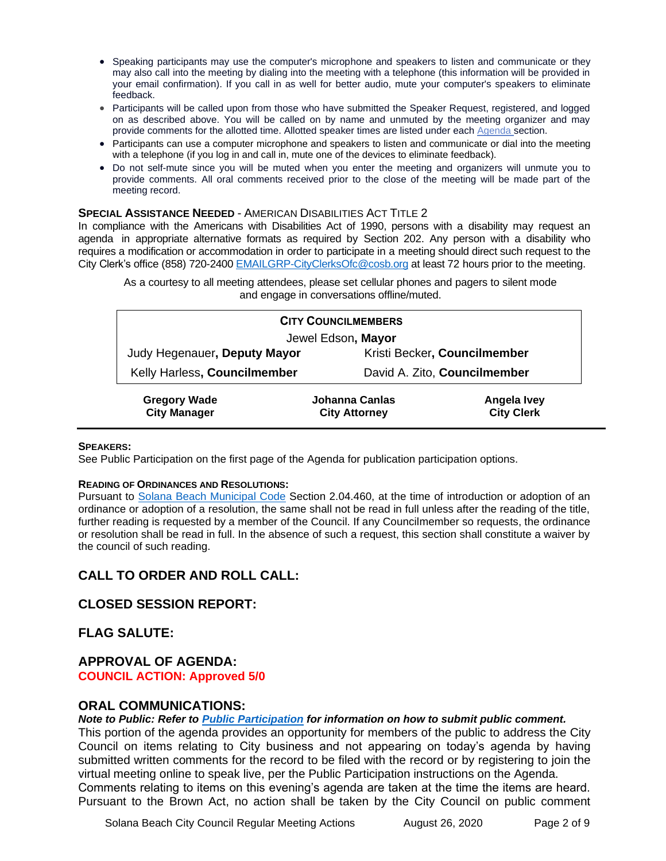- Speaking participants may use the computer's microphone and speakers to listen and communicate or they may also call into the meeting by dialing into the meeting with a telephone (this information will be provided in your email confirmation). If you call in as well for better audio, mute your computer's speakers to eliminate feedback.
- Participants will be called upon from those who have submitted the Speaker Request, registered, and logged on as described above. You will be called on by name and unmuted by the meeting organizer and may provide comments for the allotted time. Allotted speaker times are listed under eac[h Agenda s](https://urldefense.proofpoint.com/v2/url?u=https-3A__www.ci.solana-2Dbeach.ca.us_index.asp-3FSEC-3DF0F1200D-2D21C6-2D4A88-2D8AE1-2D0BC07C1A81A7-26Type-3DB-5FBASIC&d=DwMFaQ&c=euGZstcaTDllvimEN8b7jXrwqOf-v5A_CdpgnVfiiMM&r=1XAsCUuqwK_tji2t0s1uIQ&m=C7WzXfOw2_nkEFMJClT55zZsF4tmIf_7KTn0o1WpYqI&s=3DcsWExM2_nx_xpvFtXslUjphiXd0MDCCF18y_Qy5yU&e=)ection.
- Participants can use a computer microphone and speakers to listen and communicate or dial into the meeting with a telephone (if you log in and call in, mute one of the devices to eliminate feedback).
- Do not self-mute since you will be muted when you enter the meeting and organizers will unmute you to provide comments. All oral comments received prior to the close of the meeting will be made part of the meeting record.

#### **SPECIAL ASSISTANCE NEEDED** - AMERICAN DISABILITIES ACT TITLE 2

In compliance with the Americans with Disabilities Act of 1990, persons with a disability may request an agenda in appropriate alternative formats as required by Section 202. Any person with a disability who requires a modification or accommodation in order to participate in a meeting should direct such request to the City Clerk's office (858) 720-2400 [EMAILGRP-CityClerksOfc@cosb.org](mailto:EMAILGRP-CityClerksOfc@cosb.org) at least 72 hours prior to the meeting.

| and engage in conversations offline/muted. |
|--------------------------------------------|
| <b>CITY COUNCILMEMBERS</b>                 |
| Jewel Edson, Mayor                         |

As a courtesy to all meeting attendees, please set cellular phones and pagers to silent mode

Judy Hegenauer**, Deputy Mayor** Kristi Becker**, Councilmember** Kelly Harless**, Councilmember** David A. Zito, **Councilmember**

| <b>Gregory Wade</b> | Johanna Canlas       | Angela Ivey       |
|---------------------|----------------------|-------------------|
| <b>City Manager</b> | <b>City Attorney</b> | <b>City Clerk</b> |

#### **SPEAKERS:**

See Public Participation on the first page of the Agenda for publication participation options.

#### **READING OF ORDINANCES AND RESOLUTIONS:**

Pursuant to [Solana Beach Municipal Code](mailto:https://www.codepublishing.com/CA/SolanaBeach/) Section 2.04.460, at the time of introduction or adoption of an ordinance or adoption of a resolution, the same shall not be read in full unless after the reading of the title, further reading is requested by a member of the Council. If any Councilmember so requests, the ordinance or resolution shall be read in full. In the absence of such a request, this section shall constitute a waiver by the council of such reading.

## **CALL TO ORDER AND ROLL CALL:**

## **CLOSED SESSION REPORT:**

## **FLAG SALUTE:**

#### **APPROVAL OF AGENDA: COUNCIL ACTION: Approved 5/0**

#### **ORAL COMMUNICATIONS:**

*Note to Public: Refer to Public Participation for information on how to submit public comment.* 

This portion of the agenda provides an opportunity for members of the public to address the City Council on items relating to City business and not appearing on today's agenda by having submitted written comments for the record to be filed with the record or by registering to join the virtual meeting online to speak live, per the Public Participation instructions on the Agenda. Comments relating to items on this evening's agenda are taken at the time the items are heard. Pursuant to the Brown Act, no action shall be taken by the City Council on public comment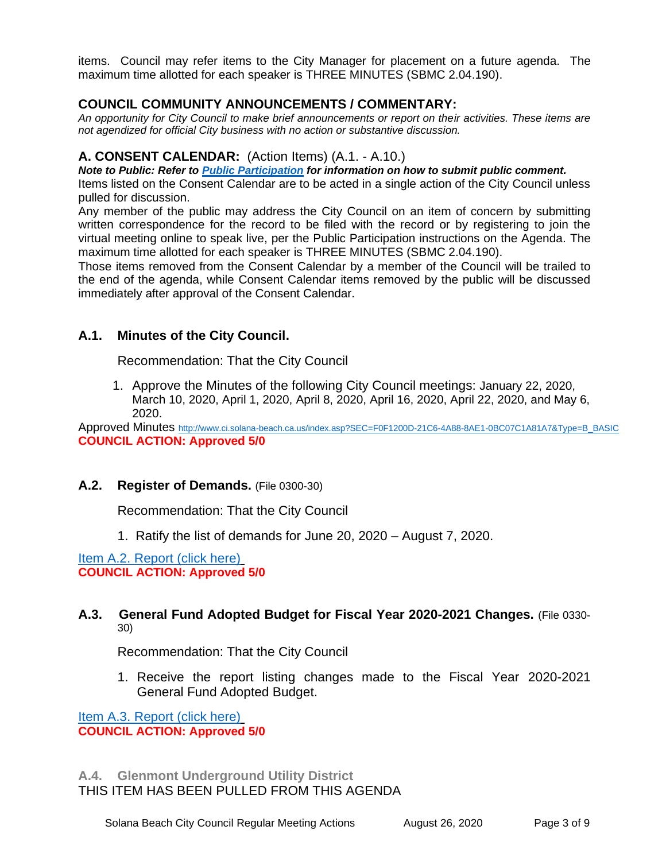items. Council may refer items to the City Manager for placement on a future agenda. The maximum time allotted for each speaker is THREE MINUTES (SBMC 2.04.190).

## **COUNCIL COMMUNITY ANNOUNCEMENTS / COMMENTARY:**

*An opportunity for City Council to make brief announcements or report on their activities. These items are not agendized for official City business with no action or substantive discussion.* 

## **A. CONSENT CALENDAR:** (Action Items) (A.1. - A.10.)

*Note to Public: Refer to Public Participation for information on how to submit public comment.* 

Items listed on the Consent Calendar are to be acted in a single action of the City Council unless pulled for discussion.

Any member of the public may address the City Council on an item of concern by submitting written correspondence for the record to be filed with the record or by registering to join the virtual meeting online to speak live, per the Public Participation instructions on the Agenda. The maximum time allotted for each speaker is THREE MINUTES (SBMC 2.04.190).

Those items removed from the Consent Calendar by a member of the Council will be trailed to the end of the agenda, while Consent Calendar items removed by the public will be discussed immediately after approval of the Consent Calendar.

## **A.1. Minutes of the City Council.**

Recommendation: That the City Council

1. Approve the Minutes of the following City Council meetings: January 22, 2020, March 10, 2020, April 1, 2020, April 8, 2020, April 16, 2020, April 22, 2020, and May 6, 2020.

Approved Minutes [http://www.ci.solana-beach.ca.us/index.asp?SEC=F0F1200D-21C6-4A88-8AE1-0BC07C1A81A7&Type=B\\_BASIC](http://www.ci.solana-beach.ca.us/index.asp?SEC=F0F1200D-21C6-4A88-8AE1-0BC07C1A81A7&Type=B_BASIC) **COUNCIL ACTION: Approved 5/0**

## **A.2. Register of Demands.** (File 0300-30)

Recommendation: That the City Council

1. Ratify the list of demands for June 20, 2020 – August 7, 2020.

[Item A.2. Report \(click here\)](https://solanabeach.govoffice3.com/vertical/Sites/%7B840804C2-F869-4904-9AE3-720581350CE7%7D/uploads/A.2._-_Register_of_Demands_August_26-O.pdf) **COUNCIL ACTION: Approved 5/0**

## **A.3. General Fund Adopted Budget for Fiscal Year 2020-2021 Changes.** (File 0330- 30)

Recommendation: That the City Council

1. Receive the report listing changes made to the Fiscal Year 2020-2021 General Fund Adopted Budget.

[Item A.3. Report \(click here\)](https://solanabeach.govoffice3.com/vertical/Sites/%7B840804C2-F869-4904-9AE3-720581350CE7%7D/uploads/A.3._-_Budget_Updates_Amdt_Tracking_082620-O.pdf) **COUNCIL ACTION: Approved 5/0**

## **A.4. Glenmont Underground Utility District**  THIS ITEM HAS BEEN PULLED FROM THIS AGENDA

Solana Beach City Council Regular Meeting Actions August 26, 2020 Page 3 of 9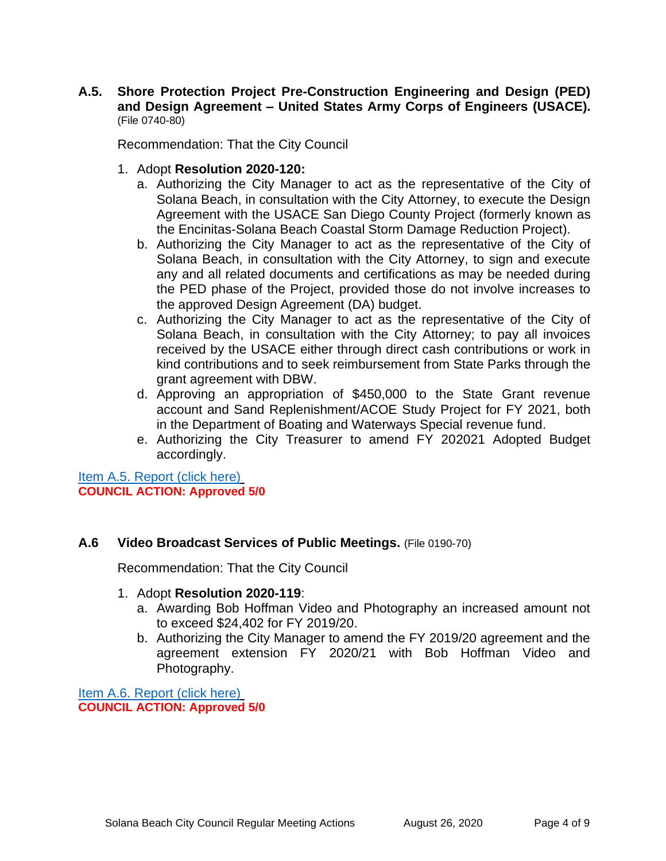**A.5. Shore Protection Project Pre-Construction Engineering and Design (PED) and Design Agreement – United States Army Corps of Engineers (USACE).** (File 0740-80)

Recommendation: That the City Council

- 1. Adopt **Resolution 2020-120:**
	- a. Authorizing the City Manager to act as the representative of the City of Solana Beach, in consultation with the City Attorney, to execute the Design Agreement with the USACE San Diego County Project (formerly known as the Encinitas-Solana Beach Coastal Storm Damage Reduction Project).
	- b. Authorizing the City Manager to act as the representative of the City of Solana Beach, in consultation with the City Attorney, to sign and execute any and all related documents and certifications as may be needed during the PED phase of the Project, provided those do not involve increases to the approved Design Agreement (DA) budget.
	- c. Authorizing the City Manager to act as the representative of the City of Solana Beach, in consultation with the City Attorney; to pay all invoices received by the USACE either through direct cash contributions or work in kind contributions and to seek reimbursement from State Parks through the grant agreement with DBW.
	- d. Approving an appropriation of \$450,000 to the State Grant revenue account and Sand Replenishment/ACOE Study Project for FY 2021, both in the Department of Boating and Waterways Special revenue fund.
	- e. Authorizing the City Treasurer to amend FY 202021 Adopted Budget accordingly.

Item A.5. [Report \(click here\)](https://solanabeach.govoffice3.com/vertical/Sites/%7B840804C2-F869-4904-9AE3-720581350CE7%7D/uploads/A.5._-__USACE_PED_Initiation_and_Design__Agmt-O.pdf) **COUNCIL ACTION: Approved 5/0**

## **A.6 Video Broadcast Services of Public Meetings.** (File 0190-70)

Recommendation: That the City Council

- 1. Adopt **Resolution 2020-119**:
	- a. Awarding Bob Hoffman Video and Photography an increased amount not to exceed \$24,402 for FY 2019/20.
	- b. Authorizing the City Manager to amend the FY 2019/20 agreement and the agreement extension FY 2020/21 with Bob Hoffman Video and Photography.

[Item A.6. Report \(click here\)](https://solanabeach.govoffice3.com/vertical/Sites/%7B840804C2-F869-4904-9AE3-720581350CE7%7D/uploads/A.6._-_Bob_Hoffman-O.pdf) **COUNCIL ACTION: Approved 5/0**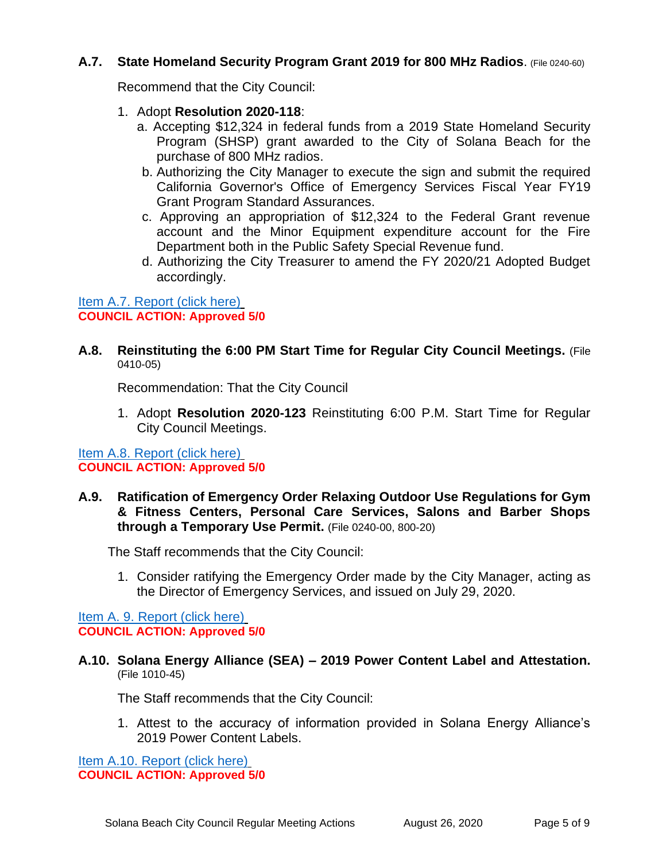## **A.7. State Homeland Security Program Grant 2019 for 800 MHz Radios**. (File 0240-60)

Recommend that the City Council:

- 1. Adopt **Resolution 2020-118**:
	- a. Accepting \$12,324 in federal funds from a 2019 State Homeland Security Program (SHSP) grant awarded to the City of Solana Beach for the purchase of 800 MHz radios.
	- b. Authorizing the City Manager to execute the sign and submit the required California Governor's Office of Emergency Services Fiscal Year FY19 Grant Program Standard Assurances.
	- c. Approving an appropriation of \$12,324 to the Federal Grant revenue account and the Minor Equipment expenditure account for the Fire Department both in the Public Safety Special Revenue fund.
	- d. Authorizing the City Treasurer to amend the FY 2020/21 Adopted Budget accordingly.

[Item A.7. Report \(click here\)](https://solanabeach.govoffice3.com/vertical/Sites/%7B840804C2-F869-4904-9AE3-720581350CE7%7D/uploads/A.7._-_FY_2019_SHSGP_800_MHz_radios-O.pdf) **COUNCIL ACTION: Approved 5/0**

**A.8. Reinstituting the 6:00 PM Start Time for Regular City Council Meetings.** (File 0410-05)

Recommendation: That the City Council

1. Adopt **Resolution 2020-123** Reinstituting 6:00 P.M. Start Time for Regular City Council Meetings.

[Item A.8. Report \(click here\)](https://solanabeach.govoffice3.com/vertical/Sites/%7B840804C2-F869-4904-9AE3-720581350CE7%7D/uploads/A.8._-_Reinstitute_6_pm_Council_Mtg-O.pdf) **COUNCIL ACTION: Approved 5/0**

**A.9. Ratification of Emergency Order Relaxing Outdoor Use Regulations for Gym & Fitness Centers, Personal Care Services, Salons and Barber Shops through a Temporary Use Permit.** (File 0240-00, 800-20)

The Staff recommends that the City Council:

1. Consider ratifying the Emergency Order made by the City Manager, acting as the Director of Emergency Services, and issued on July 29, 2020.

Item A. 9. [Report \(click here\)](https://solanabeach.govoffice3.com/vertical/Sites/%7B840804C2-F869-4904-9AE3-720581350CE7%7D/uploads/A.9._-_Ratification_of_TUP_Emergency_Order-O.pdf) **COUNCIL ACTION: Approved 5/0**

**A.10. Solana Energy Alliance (SEA) – 2019 Power Content Label and Attestation.** (File 1010-45)

The Staff recommends that the City Council:

1. Attest to the accuracy of information provided in Solana Energy Alliance's 2019 Power Content Labels.

[Item A.10. Report \(click here\)](https://solanabeach.govoffice3.com/vertical/Sites/%7B840804C2-F869-4904-9AE3-720581350CE7%7D/uploads/A.10._-_-SECA_08_26_20__PCL_Approval-O.pdf) **COUNCIL ACTION: Approved 5/0**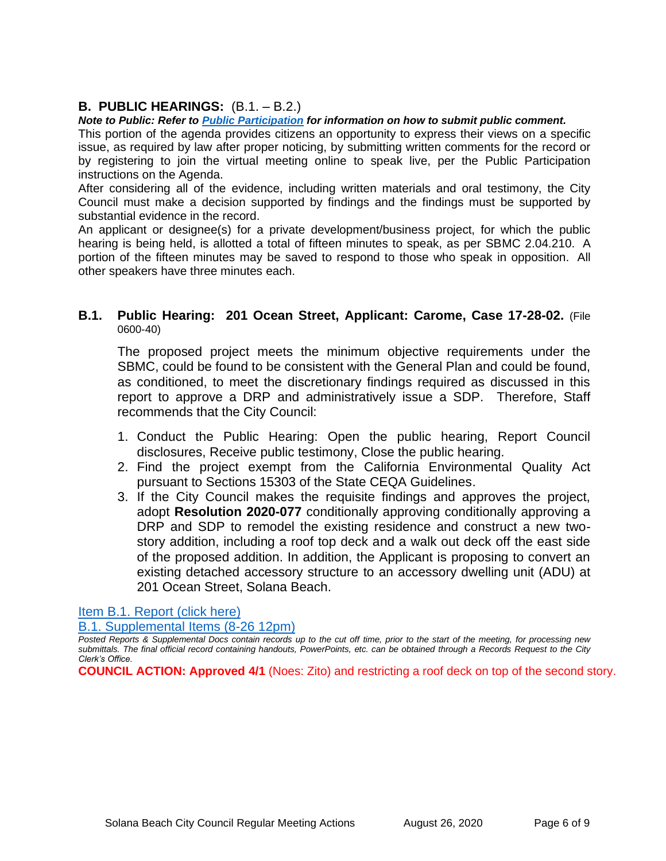## **B. PUBLIC HEARINGS:** (B.1. – B.2.)

#### *Note to Public: Refer to Public Participation for information on how to submit public comment.*

This portion of the agenda provides citizens an opportunity to express their views on a specific issue, as required by law after proper noticing, by submitting written comments for the record or by registering to join the virtual meeting online to speak live, per the Public Participation instructions on the Agenda.

After considering all of the evidence, including written materials and oral testimony, the City Council must make a decision supported by findings and the findings must be supported by substantial evidence in the record.

An applicant or designee(s) for a private development/business project, for which the public hearing is being held, is allotted a total of fifteen minutes to speak, as per SBMC 2.04.210. A portion of the fifteen minutes may be saved to respond to those who speak in opposition. All other speakers have three minutes each.

## **B.1. Public Hearing: 201 Ocean Street, Applicant: Carome, Case 17-28-02.** (File 0600-40)

The proposed project meets the minimum objective requirements under the SBMC, could be found to be consistent with the General Plan and could be found, as conditioned, to meet the discretionary findings required as discussed in this report to approve a DRP and administratively issue a SDP. Therefore, Staff recommends that the City Council:

- 1. Conduct the Public Hearing: Open the public hearing, Report Council disclosures, Receive public testimony, Close the public hearing.
- 2. Find the project exempt from the California Environmental Quality Act pursuant to Sections 15303 of the State CEQA Guidelines.
- 3. If the City Council makes the requisite findings and approves the project, adopt **Resolution 2020-077** conditionally approving conditionally approving a DRP and SDP to remodel the existing residence and construct a new twostory addition, including a roof top deck and a walk out deck off the east side of the proposed addition. In addition, the Applicant is proposing to convert an existing detached accessory structure to an accessory dwelling unit (ADU) at 201 Ocean Street, Solana Beach.

[Item B.1. Report \(click](https://www.dropbox.com/sh/vk8m0vgrxj54pi9/AAAlFqMX2dwQJ6ffmMvNOKNwa?dl=0) here)

[B.1. Supplemental Items \(8-26 12pm\)](https://solanabeach.govoffice3.com/vertical/Sites/%7B840804C2-F869-4904-9AE3-720581350CE7%7D/uploads/Item_B.1._Supplemental_Items_(8-26_12pm).pdf)

*Posted Reports & Supplemental Docs contain records up to the cut off time, prior to the start of the meeting, for processing new submittals. The final official record containing handouts, PowerPoints, etc. can be obtained through a Records Request to the City Clerk's Office.*

**COUNCIL ACTION: Approved 4/1** (Noes: Zito) and restricting a roof deck on top of the second story.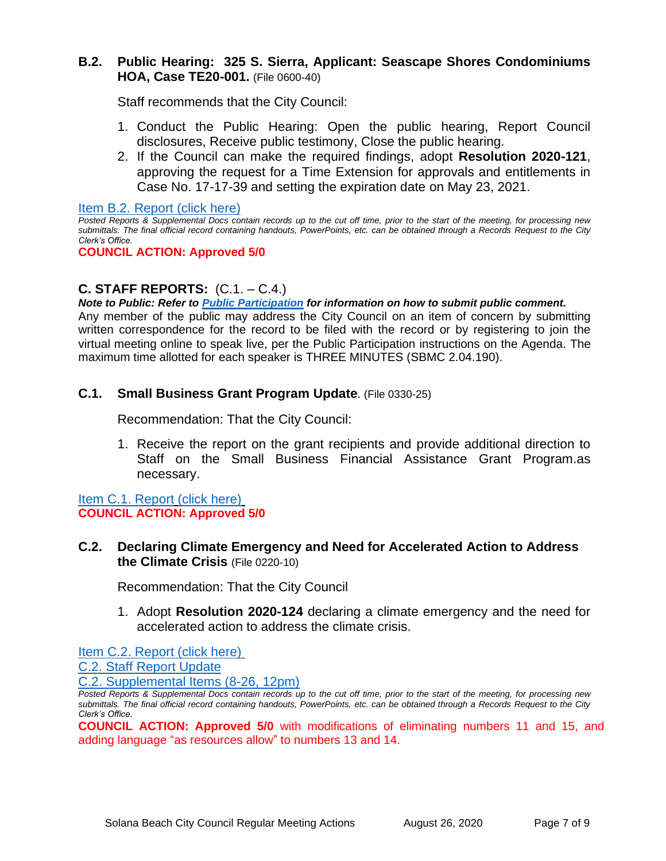## **B.2. Public Hearing: 325 S. Sierra, Applicant: Seascape Shores Condominiums HOA, Case TE20-001.** (File 0600-40)

Staff recommends that the City Council:

- 1. Conduct the Public Hearing: Open the public hearing, Report Council disclosures, Receive public testimony, Close the public hearing.
- 2. If the Council can make the required findings, adopt **Resolution 2020-121**, approving the request for a Time Extension for approvals and entitlements in Case No. 17-17-39 and setting the expiration date on May 23, 2021.

[Item B.2. Report \(click here\)](https://www.dropbox.com/sh/kcb96l7uute9iax/AACY_W4eBEv6HRFqMdtEq3vQa?dl=0)

*Posted Reports & Supplemental Docs contain records up to the cut off time, prior to the start of the meeting, for processing new submittals. The final official record containing handouts, PowerPoints, etc. can be obtained through a Records Request to the City Clerk's Office.*

#### **COUNCIL ACTION: Approved 5/0**

## **C. STAFF REPORTS:** (C.1. – C.4.)

*Note to Public: Refer to Public Participation for information on how to submit public comment.*  Any member of the public may address the City Council on an item of concern by submitting written correspondence for the record to be filed with the record or by registering to join the virtual meeting online to speak live, per the Public Participation instructions on the Agenda. The maximum time allotted for each speaker is THREE MINUTES (SBMC 2.04.190).

## **C.1. Small Business Grant Program Update**. (File 0330-25)

Recommendation: That the City Council:

1. Receive the report on the grant recipients and provide additional direction to Staff on the Small Business Financial Assistance Grant Program.as necessary.

#### [Item C.1. Report](https://solanabeach.govoffice3.com/vertical/Sites/%7B840804C2-F869-4904-9AE3-720581350CE7%7D/uploads/C.1._-_Small_Business_Grant_Update_FINAL-O.pdf) [\(click here\)](https://solanabeach.govoffice3.com/vertical/Sites/%7B840804C2-F869-4904-9AE3-720581350CE7%7D/uploads/C.1._-_Small_Business_Grant_Update_FINAL-O.pdf) **COUNCIL ACTION: Approved 5/0**

## **C.2. Declaring Climate Emergency and Need for Accelerated Action to Address the Climate Crisis** (File 0220-10)

Recommendation: That the City Council

1. Adopt **Resolution 2020-124** declaring a climate emergency and the need for accelerated action to address the climate crisis.

[Item C.2. Report \(click here\)](https://solanabeach.govoffice3.com/vertical/Sites/%7B840804C2-F869-4904-9AE3-720581350CE7%7D/uploads/C.2._Climate_Emergency_FINAL-O.pdf)

C.2. Staff [Report Update](https://solanabeach.govoffice3.com/vertical/Sites/%7B840804C2-F869-4904-9AE3-720581350CE7%7D/uploads/C.2._Staff_Report_Update_(08-26).pdf)

[C.2. Supplemental Items \(8-26, 12pm\)](https://solanabeach.govoffice3.com/vertical/Sites/%7B840804C2-F869-4904-9AE3-720581350CE7%7D/uploads/Item_C.2._Supplemental_Docs_(8-26-20_1130am).pdf)

*Posted Reports & Supplemental Docs contain records up to the cut off time, prior to the start of the meeting, for processing new submittals. The final official record containing handouts, PowerPoints, etc. can be obtained through a Records Request to the City Clerk's Office.*

**COUNCIL ACTION: Approved 5/0** with modifications of eliminating numbers 11 and 15, and adding language "as resources allow" to numbers 13 and 14.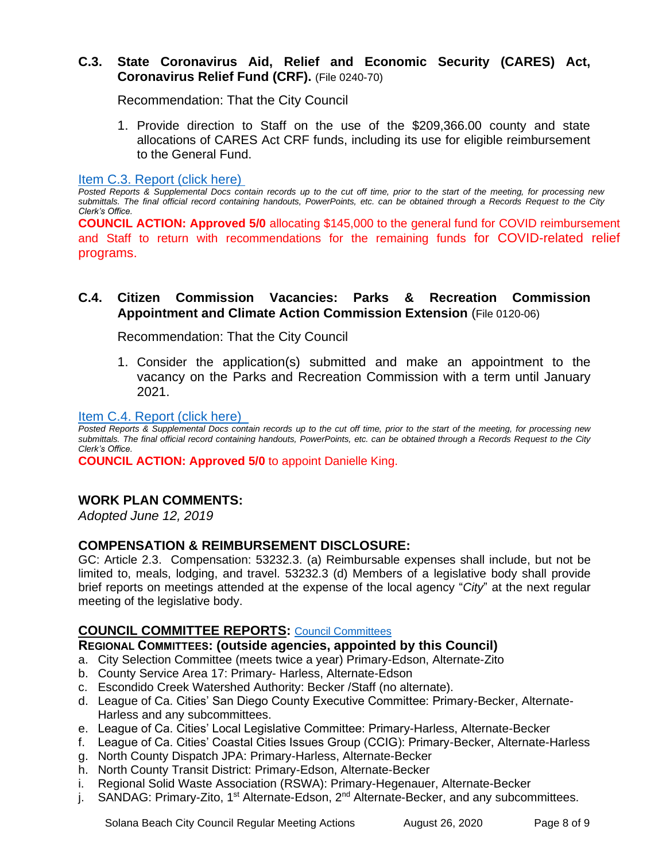## **C.3. State Coronavirus Aid, Relief and Economic Security (CARES) Act, Coronavirus Relief Fund (CRF).** (File 0240-70)

Recommendation: That the City Council

1. Provide direction to Staff on the use of the \$209,366.00 county and state allocations of CARES Act CRF funds, including its use for eligible reimbursement to the General Fund.

[Item C.3. Report \(click here\)](https://solanabeach.govoffice3.com/vertical/Sites/%7B840804C2-F869-4904-9AE3-720581350CE7%7D/uploads/C.3._-_CARES_Act_Funding_updating-O.pdf) 

*Posted Reports & Supplemental Docs contain records up to the cut off time, prior to the start of the meeting, for processing new submittals. The final official record containing handouts, PowerPoints, etc. can be obtained through a Records Request to the City Clerk's Office.*

**COUNCIL ACTION: Approved 5/0** allocating \$145,000 to the general fund for COVID reimbursement and Staff to return with recommendations for the remaining funds for COVID-related relief programs.

## **C.4. Citizen Commission Vacancies: Parks & Recreation Commission Appointment and Climate Action Commission Extension** (File 0120-06)

Recommendation: That the City Council

1. Consider the application(s) submitted and make an appointment to the vacancy on the Parks and Recreation Commission with a term until January 2021.

## [Item C.4. Report \(click here\)](https://solanabeach.govoffice3.com/vertical/Sites/%7B840804C2-F869-4904-9AE3-720581350CE7%7D/uploads/C.4._-_CitizComm_-_PkRecCAC_Review-Apptmts_-_O.pdf)

*Posted Reports & Supplemental Docs contain records up to the cut off time, prior to the start of the meeting, for processing new submittals. The final official record containing handouts, PowerPoints, etc. can be obtained through a Records Request to the City Clerk's Office.*

**COUNCIL ACTION: Approved 5/0** to appoint Danielle King.

## **WORK PLAN COMMENTS:**

*Adopted June 12, 2019*

## **COMPENSATION & REIMBURSEMENT DISCLOSURE:**

GC: Article 2.3. Compensation: 53232.3. (a) Reimbursable expenses shall include, but not be limited to, meals, lodging, and travel. 53232.3 (d) Members of a legislative body shall provide brief reports on meetings attended at the expense of the local agency "*City*" at the next regular meeting of the legislative body.

## **COUNCIL COMMITTEE REPORTS:** [Council Committees](https://www.ci.solana-beach.ca.us/index.asp?SEC=584E1192-3850-46EA-B977-088AC3E81E0D&Type=B_BASIC)

## **REGIONAL COMMITTEES: (outside agencies, appointed by this Council)**

- a. City Selection Committee (meets twice a year) Primary-Edson, Alternate-Zito
- b. County Service Area 17: Primary- Harless, Alternate-Edson
- c. Escondido Creek Watershed Authority: Becker /Staff (no alternate).
- d. League of Ca. Cities' San Diego County Executive Committee: Primary-Becker, Alternate-Harless and any subcommittees.
- e. League of Ca. Cities' Local Legislative Committee: Primary-Harless, Alternate-Becker
- f. League of Ca. Cities' Coastal Cities Issues Group (CCIG): Primary-Becker, Alternate-Harless
- g. North County Dispatch JPA: Primary-Harless, Alternate-Becker
- h. North County Transit District: Primary-Edson, Alternate-Becker
- i. Regional Solid Waste Association (RSWA): Primary-Hegenauer, Alternate-Becker
- j. SANDAG: Primary-Zito, 1<sup>st</sup> Alternate-Edson, 2<sup>nd</sup> Alternate-Becker, and any subcommittees.